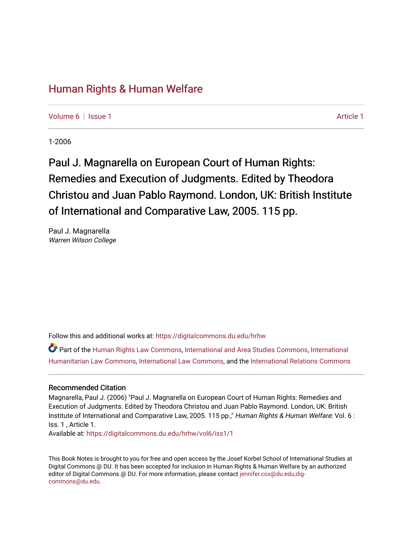## [Human Rights & Human Welfare](https://digitalcommons.du.edu/hrhw)

[Volume 6](https://digitalcommons.du.edu/hrhw/vol6) | [Issue 1](https://digitalcommons.du.edu/hrhw/vol6/iss1) [Article 1](https://digitalcommons.du.edu/hrhw/vol6/iss1/1) Article 1 Article 1 Article 1 Article 1 Article 1 Article 1 Article 1 Article 1 A

1-2006

## Paul J. Magnarella on European Court of Human Rights: Remedies and Execution of Judgments. Edited by Theodora Christou and Juan Pablo Raymond. London, UK: British Institute of International and Comparative Law, 2005. 115 pp.

Paul J. Magnarella Warren Wilson College

Follow this and additional works at: [https://digitalcommons.du.edu/hrhw](https://digitalcommons.du.edu/hrhw?utm_source=digitalcommons.du.edu%2Fhrhw%2Fvol6%2Fiss1%2F1&utm_medium=PDF&utm_campaign=PDFCoverPages)

Part of the [Human Rights Law Commons,](http://network.bepress.com/hgg/discipline/847?utm_source=digitalcommons.du.edu%2Fhrhw%2Fvol6%2Fiss1%2F1&utm_medium=PDF&utm_campaign=PDFCoverPages) [International and Area Studies Commons](http://network.bepress.com/hgg/discipline/360?utm_source=digitalcommons.du.edu%2Fhrhw%2Fvol6%2Fiss1%2F1&utm_medium=PDF&utm_campaign=PDFCoverPages), [International](http://network.bepress.com/hgg/discipline/1330?utm_source=digitalcommons.du.edu%2Fhrhw%2Fvol6%2Fiss1%2F1&utm_medium=PDF&utm_campaign=PDFCoverPages)  [Humanitarian Law Commons,](http://network.bepress.com/hgg/discipline/1330?utm_source=digitalcommons.du.edu%2Fhrhw%2Fvol6%2Fiss1%2F1&utm_medium=PDF&utm_campaign=PDFCoverPages) [International Law Commons](http://network.bepress.com/hgg/discipline/609?utm_source=digitalcommons.du.edu%2Fhrhw%2Fvol6%2Fiss1%2F1&utm_medium=PDF&utm_campaign=PDFCoverPages), and the [International Relations Commons](http://network.bepress.com/hgg/discipline/389?utm_source=digitalcommons.du.edu%2Fhrhw%2Fvol6%2Fiss1%2F1&utm_medium=PDF&utm_campaign=PDFCoverPages) 

## Recommended Citation

Magnarella, Paul J. (2006) "Paul J. Magnarella on European Court of Human Rights: Remedies and Execution of Judgments. Edited by Theodora Christou and Juan Pablo Raymond. London, UK: British Institute of International and Comparative Law, 2005. 115 pp.," Human Rights & Human Welfare: Vol. 6 : Iss. 1 , Article 1.

Available at: [https://digitalcommons.du.edu/hrhw/vol6/iss1/1](https://digitalcommons.du.edu/hrhw/vol6/iss1/1?utm_source=digitalcommons.du.edu%2Fhrhw%2Fvol6%2Fiss1%2F1&utm_medium=PDF&utm_campaign=PDFCoverPages)

This Book Notes is brought to you for free and open access by the Josef Korbel School of International Studies at Digital Commons @ DU. It has been accepted for inclusion in Human Rights & Human Welfare by an authorized editor of Digital Commons @ DU. For more information, please contact [jennifer.cox@du.edu,dig](mailto:jennifer.cox@du.edu,dig-commons@du.edu)[commons@du.edu.](mailto:jennifer.cox@du.edu,dig-commons@du.edu)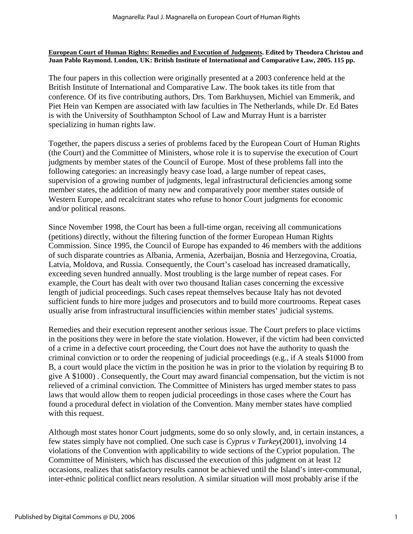**European Court of Human Rights: Remedies and Execution of Judgments. Edited by Theodora Christou and Juan Pablo Raymond. London, UK: British Institute of International and Comparative Law, 2005. 115 pp.**

The four papers in this collection were originally presented at a 2003 conference held at the British Institute of International and Comparative Law. The book takes its title from that conference. Of its five contributing authors, Drs. Tom Barkhuysen, Michiel van Emmerik, and Piet Hein van Kempen are associated with law faculties in The Netherlands, while Dr. Ed Bates is with the University of Southhampton School of Law and Murray Hunt is a barrister specializing in human rights law.

Together, the papers discuss a series of problems faced by the European Court of Human Rights (the Court) and the Committee of Ministers, whose role it is to supervise the execution of Court judgments by member states of the Council of Europe. Most of these problems fall into the following categories: an increasingly heavy case load, a large number of repeat cases, supervision of a growing number of judgments, legal infrastructural deficiencies among some member states, the addition of many new and comparatively poor member states outside of Western Europe, and recalcitrant states who refuse to honor Court judgments for economic and/or political reasons.

Since November 1998, the Court has been a full-time organ, receiving all communications (petitions) directly, without the filtering function of the former European Human Rights Commission. Since 1995, the Council of Europe has expanded to 46 members with the additions of such disparate countries as Albania, Armenia, Azerbaijan, Bosnia and Herzegovina, Croatia, Latvia, Moldova, and Russia. Consequently, the Court's caseload has increased dramatically, exceeding seven hundred annually. Most troubling is the large number of repeat cases. For example, the Court has dealt with over two thousand Italian cases concerning the excessive length of judicial proceedings. Such cases repeat themselves because Italy has not devoted sufficient funds to hire more judges and prosecutors and to build more courtrooms. Repeat cases usually arise from infrastructural insufficiencies within member states' judicial systems.

Remedies and their execution represent another serious issue. The Court prefers to place victims in the positions they were in before the state violation. However, if the victim had been convicted of a crime in a defective court proceeding, the Court does not have the authority to quash the criminal conviction or to order the reopening of judicial proceedings (e.g., if A steals \$1000 from B, a court would place the victim in the position he was in prior to the violation by requiring B to give A \$1000) . Consequently, the Court may award financial compensation, but the victim is not relieved of a criminal conviction. The Committee of Ministers has urged member states to pass laws that would allow them to reopen judicial proceedings in those cases where the Court has found a procedural defect in violation of the Convention. Many member states have complied with this request.

Although most states honor Court judgments, some do so only slowly, and, in certain instances, a few states simply have not complied. One such case is *Cyprus v Turkey*(2001), involving 14 violations of the Convention with applicability to wide sections of the Cypriot population. The Committee of Ministers, which has discussed the execution of this judgment on at least 12 occasions, realizes that satisfactory results cannot be achieved until the Island's inter-communal, inter-ethnic political conflict nears resolution. A similar situation will most probably arise if the